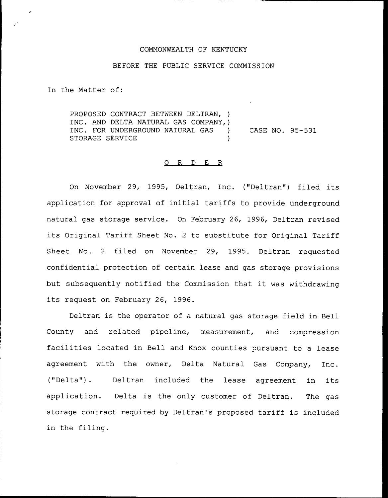## COMMONWEALTH OF KENTUCKY

## BEFORE THE PUBLIC SERVICE COMMISSION

In the Matter of:

PROPOSED CONTRACT BETWEEN DELTRAN, ) INC. AND DELTA NATURAL GAS COMPANY,) INC. FOR UNDERGROUND NATURAL GAS ) STORAGE SERVICE  $\qquad \qquad$ CASE NO. 95-531

## O R D E R

On November 29, 1995, Deltran, Inc. ("Deltran") filed its application for approval of initial tariffs to provide underground natural gas storage service. On February 26, 1996, Deltran revised its Original Tariff Sheet No. <sup>2</sup> to substitute for Original Tariff Sheet No. <sup>2</sup> filed on November 29, 1995. Deltran requested confidential protection of certain lease and gas storage provisions but subsequently notified the Commission that it was withdrawing its request on February 26, 1996.

Deltran is the operator of a natural gas storage field in Bell County and related pipeline, measurement, and compression facilities located in Bell and Knox counties pursuant to <sup>a</sup> lease agreement with the owner, Delta Natural Gas Company, Inc. ("Delta"). Deltran included the lease agreement in its application. Delta is the only customer of Deltran. The gas storage contract required by Deltran's proposed tariff is included in the filing.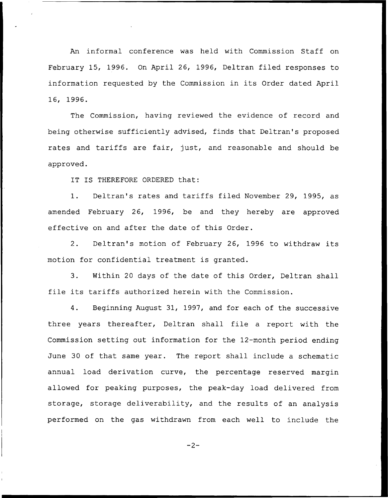An informal conference was held with Commission Staff on February 15, 1996. On April 26, 1996, Deltran filed responses to information requested by the Commission in its Order dated April 16, 1996.

The Commission, having reviewed the evidence of record and being otherwise sufficiently advised, finds that Deltran's proposed rates and tariffs are fair, just, and reasonable and should be approved.

IT IS THEREFORE ORDERED that:

1. Deltran's rates and tariffs filed November 29, 1995, as amended February 26, 1996, be and they hereby are approved effective on and after the date of this Order.

2. Deltran's motion of February 26, 1996 to withdraw its motion for confidential treatment is granted.

3. Within 20 days of the date of this Order, Deltran shall file its tariffs authorized herein with the Commission.

4. Beginning August 31, 1997, and for each of the successive three years thereafter, Deltran shall file <sup>a</sup> report with the Commission setting out information for the 12-month period ending June 30 of that same year. The report shall include a schematic annual load derivation curve, the percentage reserved margin allowed for peaking purposes, the peak-day load delivered from storage, storage deliverability, and the results of an analysis performed on the gas withdrawn from each well to include the

 $-2-$